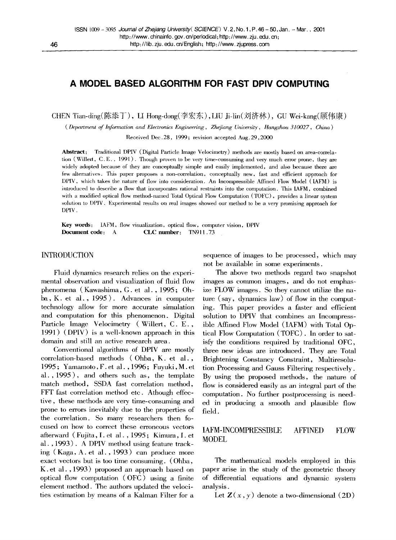# **A MODEL BASED ALGORITHM FOR FAST DPIV COMPUTING**

CHEN Tian-ding(陈添丁), LI Hong-dong(李宏东), LIU Ji-lin(刘济林), GU Wei-kang(顾伟康)

*( Department of Information and Electronics Engineering, Zhefiang University, Hangzhou 310027, China )* 

Received Dec. 28, 1999; revision accepted Aug. 29, 2000

**Abstract:** Traditional DPIV (Digital Particle Image Velocimetry) methods are mostly based on area-correlation (Willert, C.E., 1991). Though proven to be very time-consuming and very much error prone, they are widely adopted because of they are conceptually simple and easily implemented, and also because there are few alternatives. This paper proposes a non-correlation, conceptually new, fast and efficient approach for DPIV, which takes the nature of flow into consideration. An Incompressible Affined How Model (IAFM) is introduced to describe a flow that incorporates rational restraints into the computation. This IAFM, combined with a modified optical flow method-named Total Optical How Computation (TOFC), provides a linear system solution to DPIV. Experimental results on real images showed our method to be a very promising approach for DPIV.

**Key words:** IAFM, flow visualization, optical flow, computer vision, DPIV **Document code:** A **CLC number:** TN911.73

#### INTRODUCTION

Fluid dynamics research relies on the experimental observation and visualization of fluid flow phenomena (Kawashima, G. et al. , 1995; Ohba, K. et al., 1995). Advances in computer technology allow for more accurate simulation and computation for this phenomenon. Digital Particle Image Velocimetry (Willert, C. E., 1991 ) (DPIV) is a well-known approach in this domain and still an active research area.

Conventional algorithms of DPIV are mostly correlation-based methods (Ohba, K. et al., 1995 ; Yamamoto, F. et al., 1996 ; Fuyuki, M. et al., 1995), and others such as, the template match method, SSDA fast correlation method, FFT fast correlation method etc. Athough effective, these methods are very time-consuming and prone to errors inevitably due to the properties of the correlation. So many researchers then focused on how to correct these erroneous vectors afterward ( Fujita, I. et al. , 1995 ; Kimura, I. et al. , 1993). A DPIV method using feature tracking (Kaga, A. et al., 1993) can produce more exact vectors but is too time consuming. (Ohba, K. et al., 1993) proposed an approach based on optical flow computation (OFC) using a finite element method. The authors updated the velocities estimation by means of a Kalman Filter for a sequence of images to be processed, which may not be available in some experiments.

The above two methods regard two snapshot images as common images, and do not emphasize FLOW images. So they cannot utilize the nature (say, dynamics law) of flow in the computing. This paper provides a faster and efficient solution to DPIV that combines an Incompressible Affined How Model (IAFM) with Total Optical Flow Computation (TOFC). In order to satisfy the conditions required by traditional OFC, three new ideas are introduced. They are Total Brightening Constancy Constraint, Muhiresolution Processing and Gauss Filtering respectively. By using the proposed methods, the nature of flow is considered easily as an integral part of the computation. No further postprocessing is needed in producing a smooth and plausible flow field.

# IAFM-INCOMPRESSIBLE AFFINED FLOW MODEL

The mathematical models employed in this paper arise in the study of the geometric theory of differential equations and dynamic system analysis.

Let  $\mathbf{Z}(x, y)$  denote a two-dimensional  $(2D)$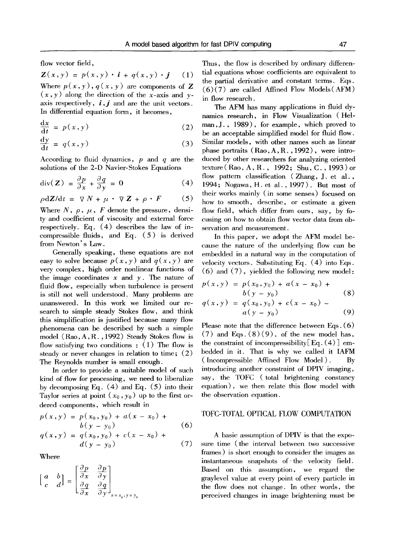flow vector field,

$$
\mathbf{Z}(x,y) = p(x,y) \cdot \mathbf{i} + q(x,y) \cdot \mathbf{j} \quad (1)
$$

Where  $p(x, y)$ ,  $q(x, y)$  are components of Z  $(x,y)$  along the direction of the x-axis and yaxis respectively,  $\boldsymbol{i}$ ,  $\boldsymbol{j}$  and are the unit vectors. In differential equation form, it becomes,

$$
\frac{\mathrm{d}x}{\mathrm{d}t} = p(x, y) \tag{2}
$$

$$
\frac{\mathrm{d}y}{\mathrm{d}t} = q(x, y) \tag{3}
$$

According to fluid dynamics,  $p$  and  $q$  are the solutions of the 2-D Navier-Stokes Equations

$$
\operatorname{div}(\mathbf{Z}) = \frac{\partial p}{\partial x} + \frac{\partial q}{\partial y} = 0 \tag{4}
$$

$$
\rho \mathrm{d}Z/\mathrm{d}t = \nabla N + \mu \cdot \nabla Z + \rho \cdot F \qquad (5)
$$

Where N,  $\rho$ ,  $\mu$ , F denote the pressure, density and coefficient of viscosity and external force respectively. Eq. (4) describes the law of incompressible fluids, and Eq. ( 5 ) is derived from Newton's Law.

Generally speaking, these equations are not easy to solve because  $p(x, y)$  and  $q(x, y)$  are very complex, high order nonlinear functions of the image coordinates  $x$  and  $y$ . The nature of fluid flow, especially when turbulence is present is still not well understood. Many problems are unanswered. In this work we limited our research to simple steady Stokes flow, and think this simplification is justified because many flow phenomena can be described by such a simple model (Rao, A, R., 1992) Steady Stokes flow is flow satisfying two conditions :  $(1)$  The flow is steady or never changes in relation to time; (2) The Reynolds number is small enough.

In order to provide a suitable model of such kind of flow for processing, we need to liberalize by decomposing Eq. (4) and Eq. (5) into their Taylor series at point  $(x_0, y_0)$  up to the first ordered components, which result in

$$
p(x,y) = p(x_0, y_0) + a(x - x_0) + b(y - y_0)
$$
  
\n
$$
q(x,y) = q(x_0, y_0) + c(x - x_0) + d(y - y_0)
$$
\n(7)

Where

$$
\begin{bmatrix} a & b \\ c & d \end{bmatrix} = \begin{bmatrix} \frac{\partial p}{\partial x} & \frac{\partial p}{\partial y} \\ \frac{\partial q}{\partial x} & \frac{\partial q}{\partial y} \end{bmatrix}_{x = x_0, y = y_0}
$$

 $-2$ 

Thus, the flow is described by ordinary differential equations whose coefficients are equivalent to the partial derivative and constant terms. Eqs.  $(6)(7)$  are called Affined Flow Models (AFM) in flow research.

The AFM has many applications in fluid dynamics research, in Flow Visualization (Helman,J. , 1989), for example, which proved to be an acceptable simplified model for fluid flow. Similar models, with other names such as linear phase portraits (Rao,A,R., 1992), were introduced by other researchers for analyzing oriented texture ( Rao, A, R. , 1992; Shu, C. , 1993) or flow pattern classification (Zhang, J. et al., 1994; Nogawa, H. et. al., 1997). But most of their works mainly (in some senses) focused on how to smooth, describe, or estimate a given flow field, which differ from ours, say, by focusing on how to obtain flow vector data from observation and measurement.

In this paper, we adopt the AFM model because the nature of the underlying flow can be embedded in a natural way in the computation of velocity vectors. Substituting Eq. (4) into Eqs. (6) and (7), yielded the following new model:

$$
p(x,y) = p(x_0, y_0) + a(x - x_0) + b(y - y_0)
$$
\n(8)

$$
q(x,y) = q(x_0, y_0) + c(x - x_0) - a(y - y_0)
$$
 (9)

Please note that the difference between Eqs. (6)  $(7)$  and Eqs.  $(8)(9)$ , of the new model has, the constraint of incompressibility  $Eq. (4)$  embedded in it. That is why we called it IAFM (Incompressible Affined Flow Model). By introducing another constraint of DPIV imaging, say, the TOFC (total brightening constancy equation), we then relate this flow model with the observation equation.

# TOFC-TOTAL OPTICAL FLOW COMPUTATION

A basic assumption of DPIV is that the exposure time (the interval between two successive frames) is short enough to consider the images as instantaneous snapshots of the velocity field. Based on this assumption, we regard the graylevel value at every point of every particle in the flow does not change. In other words, the perceived changes in image brightening must be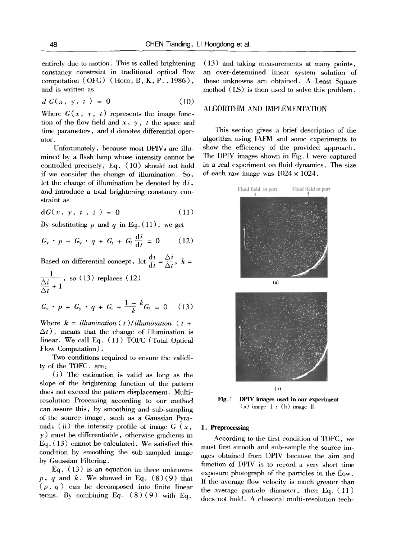entirely due to motion. This is called brightening constancy constraint in traditional optical flow computation (OFC) (Horn, B, K, P., 1986), and is written as

$$
d G(x, y, t) = 0 \tag{10}
$$

Where  $G(x, y, t)$  represents the image function of the flow field and  $x, y, t$  the space and time parameters, and d denotes differential operator.

Unfortunately, because most DPIVs are illumined by a flash lamp whose intensity cannot be controlled precisely, Eq. (10) should not hold if we consider the change of illumination. So, let the change of illumination be denoted by  $di$ , and introduce a total brightening constancy constraint as

$$
dG(x, y, t, i) = 0 \tag{11}
$$

By substituting p and q in Eq.  $(11)$ , we get

$$
G_x \cdot p + G_y \cdot q + G_t + G_i \frac{\mathrm{d}i}{\mathrm{d}t} = 0 \qquad (12)
$$

Based on differential concept, let  $\frac{di}{dt} = \frac{\Delta i}{\Delta t}$ ,  $k =$ 

$$
\frac{1}{\frac{\Delta i}{\Delta t} + 1}
$$
, so (13) replaces (12)

$$
G_x \cdot p + G_y \cdot q + G_t + \frac{1-k}{k} G_i = 0 \quad (13)
$$

Where  $k =$  *illumination* (*t*)/*illumination* (*t* +  $\Delta t$ ), means that the change of illumination is linear. We call Eq. (11) TOFC (Total Optical Flow Computation).

Two conditions required to ensure the validity of the TOFC. are:

(i) The estimation is valid as long as the slope of the brightening function of the pattern does not exceed the pattern displacement. Multiresolution Processing according to our method can assure this, by smoothing and sub-sampling of the source image, such as a Gaussian Pyramid; (ii) the intensity profile of image  $G(x)$ ,  $\gamma$ ) must be differentiable, otherwise gradients in Eq. (13) cannot be calculated. We satisfied this condition by smoothing the sub-sampled image by Gaussian Filtering.

Eq. (13) is an equation in three unknowns  $p, q$  and  $k$ . We showed in Eq.  $(8)(9)$  that  $(p, q)$  can be decomposed into finite linear terms. By combining Eq.  $(8)(9)$  with Eq.

(13) and taking measurements at many points, an over-determined linear system solution of these unknowns are obtained. A Least Square method (IS) is then used to solve this problem.

# ALGORITHM AND IMPLEMENTATION

This section gives a brief description of the algorithm using IAFM and some experiments to show the efficiency of the provided approach. The DPIV images shown in Fig. 1 were captured in a real experiment on fluid dynamics. The size of each raw image was  $1024 \times 1024$ .



Fig. 1 **DPIV images used in our experiment**   $(a)$  image  $\text{I}$ ; (b) image  $\text{II}$ 

### **1. Preprocessing**

According to the first condition of TOFC, we must first smooth and sub-sample the source images obtained from DPIV because the aim and function of DPIV is to record a very short time exposure photograph of the particles in the flow. If the average flow velocity is much greater than the average panicle diameter, then Eq. (11) does not hold. A classical muhi-resolution tech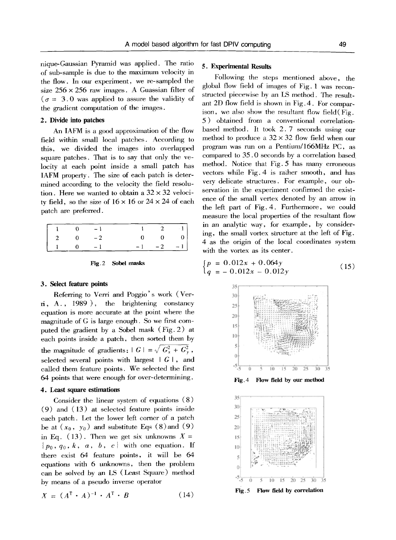nique-Gaussian Pyramid was applied. The ratio of sub-sample is due to the maximum velocity in the flow. In our experiment, we re-sampled the size  $256 \times 256$  raw images. A Guassian filter of  $\sigma = 3.0$  was applied to assure the validity of the gradient computation of the images.

#### **2. Divide into patches**

An IAFM is a good approximation of the flow field within small local patches. According to this, we divided the images into overlapped square patches. That is to say that only the velocity at each point inside a small patch has IAFM property. The size of each patch is determined according to the velocity the field resolution. Here we wanted to obtain a  $32 \times 32$  velocity field, so the size of  $16 \times 16$  or  $24 \times 24$  of each patch are preferred.

|                                            |  | $\begin{vmatrix} 1 & 0 & -1 & 1 & 2 & 1 \end{vmatrix}$    |                       |  |
|--------------------------------------------|--|-----------------------------------------------------------|-----------------------|--|
| $\begin{vmatrix} 2 & 0 & -2 \end{vmatrix}$ |  |                                                           | $0 \qquad 0 \qquad 0$ |  |
|                                            |  | $\begin{vmatrix} 1 & 0 & -1 & -1 & -2 & -1 \end{vmatrix}$ |                       |  |

| Fig. 2 |  | Sobel masks |
|--------|--|-------------|
|--------|--|-------------|

#### **3. Select feature points**

Referring to Verri and Poggio' s work (Verri, A., 1989 ), the brightening constancy equation is more accurate at the point where the magnitude of G is large enough. So we first computed the gradient by a Sobel mask (Fig. 2) at each points inside a patch, then sorted them by the magnitude of gradients:  $|G| = \sqrt{G_x^2 + G_y^2}$ , selected several points with largest  $|G|$ , and called them feature points. We selected the first 64 points that were enough for over-determining.

### **4. Least square** estimations

Consider the linear system of equations (8) (9) and (13) at selected feature points inside each patch. Let the lower left comer of a patch be at  $(x_0, y_0)$  and substitute Eqs  $(8)$  and  $(9)$ in Eq. (13). Then we get six unknowns  $X =$  ${p_0, q_0, k, a, b, c}$  with one equation. If there exist 64 feature points, it will be 64 equations with 6 unknowns, then the problem can be solved by an LS (Least Square) method by means of a pseudo inverse operator

$$
X = (A^{\mathrm{T}} \cdot A)^{-1} \cdot A^{\mathrm{T}} \cdot B \tag{14}
$$

### 5. Experimental **Results**

Following the steps mentioned above, the global flow field of images of Fig. 1 was reconstructed piecewise by an LS method. The resultant 2D flow field is shown in Fig. 4. For comparison, we also show the resultant flow field( Fig. 5) obtained from a conventional correlationbased method. It took 2.7 seconds using our method to produce a  $32 \times 32$  flow field when our program was run on a Pentium/166MHz PC, as compared to 35.0 seconds by a correlation based method. Notice that Fig. 5 has many erroneous vectors while Fig. 4 is rather smooth, and has very delicate structures. For example, our observation in the experiment confirmed the existence of the small vertex denoted by an arrow in the left part of Fig. 4. Furthermore, we could measure the local properties of the resultant flow in an analytic way, for example, by considering, the small vortex structure at the left of Fig. 4 as the origin of the local coordinates system with the vortex as its center.

$$
\begin{cases}\np = 0.012x + 0.064y \\
q = -0.012x - 0.012y\n\end{cases}
$$
\n(15)